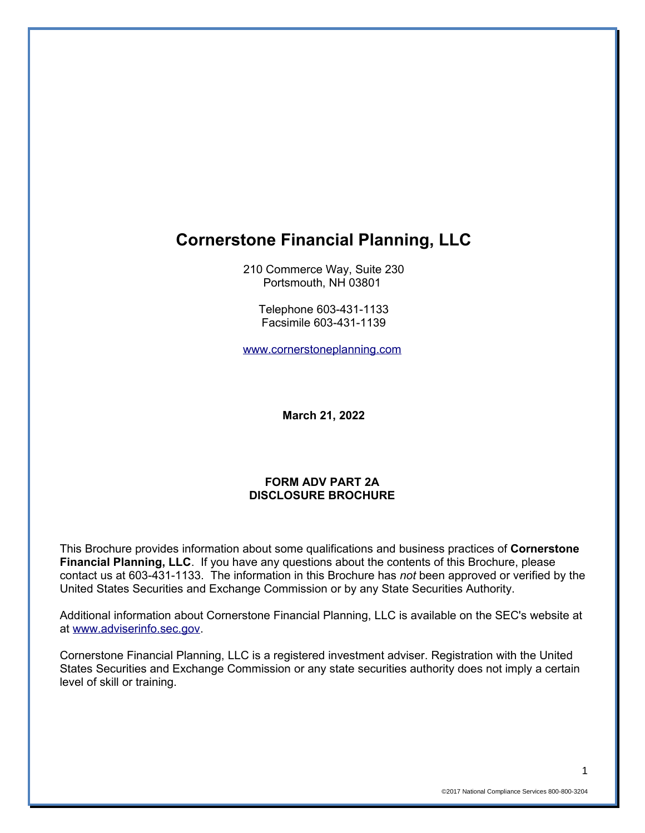# **Cornerstone Financial Planning, LLC**

210 Commerce Way, Suite 230 Portsmouth, NH 03801

Telephone 603-431-1133 Facsimile 603-431-1139

[www.cornerstoneplanning.com](http://www.cornerstoneplanning.com/)

**March 21, 2022**

#### **FORM ADV PART 2A DISCLOSURE BROCHURE**

This Brochure provides information about some qualifications and business practices of **Cornerstone Financial Planning, LLC**. If you have any questions about the contents of this Brochure, please contact us at 603-431-1133. The information in this Brochure has *not* been approved or verified by the United States Securities and Exchange Commission or by any State Securities Authority.

Additional information about Cornerstone Financial Planning, LLC is available on the SEC's website at at [www.adviserinfo.sec.gov.](http://www.adviserinfo.sec.gov/)

Cornerstone Financial Planning, LLC is a registered investment adviser. Registration with the United States Securities and Exchange Commission or any state securities authority does not imply a certain level of skill or training.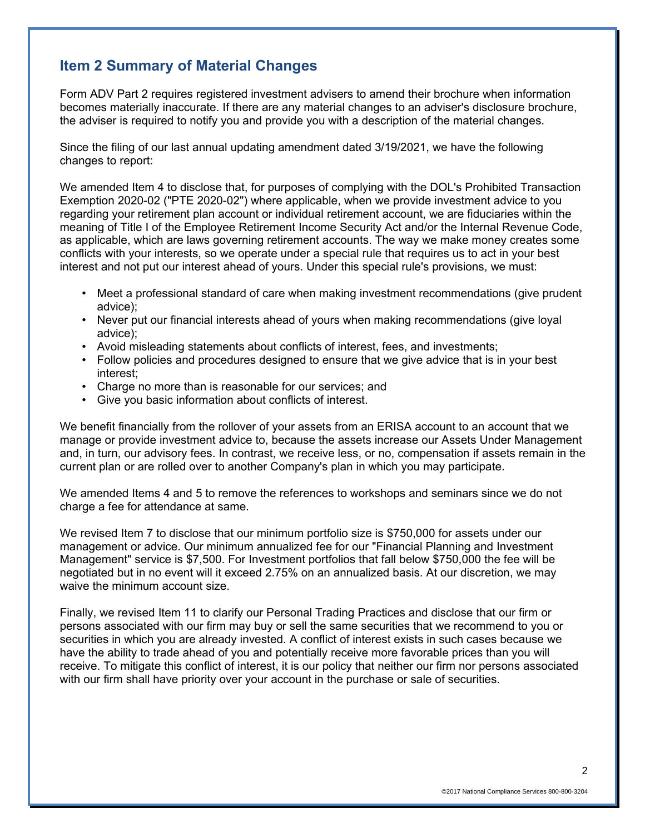# **Item 2 Summary of Material Changes**

Form ADV Part 2 requires registered investment advisers to amend their brochure when information becomes materially inaccurate. If there are any material changes to an adviser's disclosure brochure, the adviser is required to notify you and provide you with a description of the material changes.

Since the filing of our last annual updating amendment dated 3/19/2021, we have the following changes to report:

We amended Item 4 to disclose that, for purposes of complying with the DOL's Prohibited Transaction Exemption 2020-02 ("PTE 2020-02") where applicable, when we provide investment advice to you regarding your retirement plan account or individual retirement account, we are fiduciaries within the meaning of Title I of the Employee Retirement Income Security Act and/or the Internal Revenue Code, as applicable, which are laws governing retirement accounts. The way we make money creates some conflicts with your interests, so we operate under a special rule that requires us to act in your best interest and not put our interest ahead of yours. Under this special rule's provisions, we must:

- Meet a professional standard of care when making investment recommendations (give prudent advice);
- Never put our financial interests ahead of yours when making recommendations (give loyal advice);
- Avoid misleading statements about conflicts of interest, fees, and investments;
- Follow policies and procedures designed to ensure that we give advice that is in your best interest;
- Charge no more than is reasonable for our services; and
- Give you basic information about conflicts of interest.

We benefit financially from the rollover of your assets from an ERISA account to an account that we manage or provide investment advice to, because the assets increase our Assets Under Management and, in turn, our advisory fees. In contrast, we receive less, or no, compensation if assets remain in the current plan or are rolled over to another Company's plan in which you may participate.

We amended Items 4 and 5 to remove the references to workshops and seminars since we do not charge a fee for attendance at same.

We revised Item 7 to disclose that our minimum portfolio size is \$750,000 for assets under our management or advice. Our minimum annualized fee for our "Financial Planning and Investment Management" service is \$7,500. For Investment portfolios that fall below \$750,000 the fee will be negotiated but in no event will it exceed 2.75% on an annualized basis. At our discretion, we may waive the minimum account size.

Finally, we revised Item 11 to clarify our Personal Trading Practices and disclose that our firm or persons associated with our firm may buy or sell the same securities that we recommend to you or securities in which you are already invested. A conflict of interest exists in such cases because we have the ability to trade ahead of you and potentially receive more favorable prices than you will receive. To mitigate this conflict of interest, it is our policy that neither our firm nor persons associated with our firm shall have priority over your account in the purchase or sale of securities.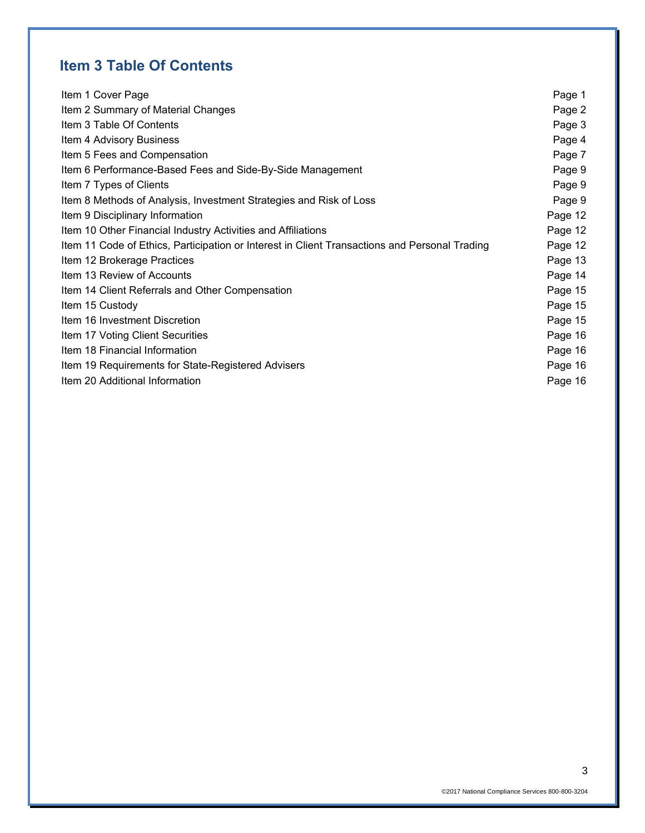# **Item 3 Table Of Contents**

| Item 1 Cover Page                                                                             | Page 1  |
|-----------------------------------------------------------------------------------------------|---------|
| Item 2 Summary of Material Changes                                                            | Page 2  |
| Item 3 Table Of Contents                                                                      | Page 3  |
| Item 4 Advisory Business                                                                      | Page 4  |
| Item 5 Fees and Compensation                                                                  | Page 7  |
| Item 6 Performance-Based Fees and Side-By-Side Management                                     | Page 9  |
| Item 7 Types of Clients                                                                       | Page 9  |
| Item 8 Methods of Analysis, Investment Strategies and Risk of Loss                            | Page 9  |
| Item 9 Disciplinary Information                                                               | Page 12 |
| Item 10 Other Financial Industry Activities and Affiliations                                  | Page 12 |
| Item 11 Code of Ethics, Participation or Interest in Client Transactions and Personal Trading | Page 12 |
| Item 12 Brokerage Practices                                                                   | Page 13 |
| Item 13 Review of Accounts                                                                    | Page 14 |
| Item 14 Client Referrals and Other Compensation                                               | Page 15 |
| Item 15 Custody                                                                               | Page 15 |
| Item 16 Investment Discretion                                                                 | Page 15 |
| Item 17 Voting Client Securities                                                              | Page 16 |
| Item 18 Financial Information                                                                 | Page 16 |
| Item 19 Requirements for State-Registered Advisers                                            | Page 16 |
| Item 20 Additional Information                                                                | Page 16 |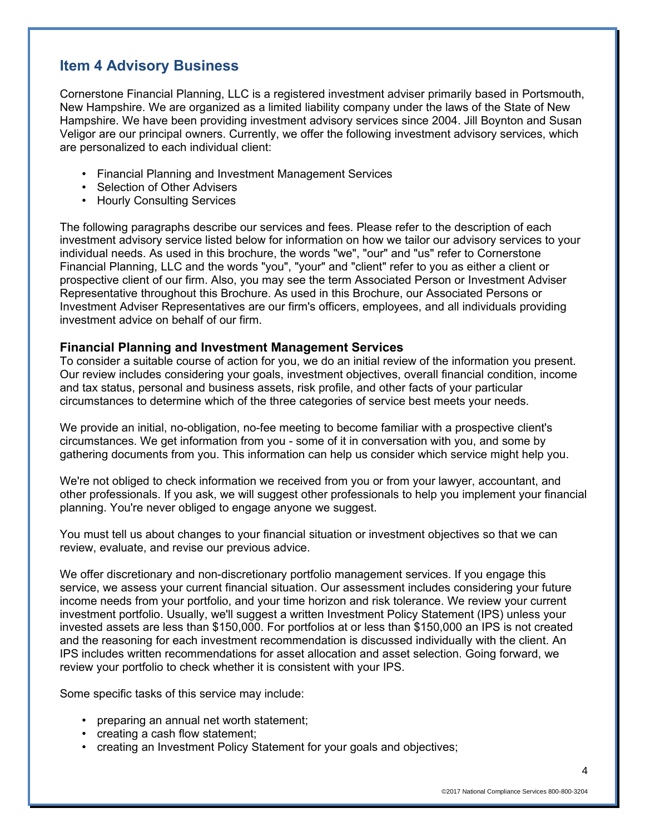# **Item 4 Advisory Business**

Cornerstone Financial Planning, LLC is a registered investment adviser primarily based in Portsmouth, New Hampshire. We are organized as a limited liability company under the laws of the State of New Hampshire. We have been providing investment advisory services since 2004. Jill Boynton and Susan Veligor are our principal owners. Currently, we offer the following investment advisory services, which are personalized to each individual client:

- Financial Planning and Investment Management Services
- Selection of Other Advisers
- Hourly Consulting Services

The following paragraphs describe our services and fees. Please refer to the description of each investment advisory service listed below for information on how we tailor our advisory services to your individual needs. As used in this brochure, the words "we", "our" and "us" refer to Cornerstone Financial Planning, LLC and the words "you", "your" and "client" refer to you as either a client or prospective client of our firm. Also, you may see the term Associated Person or Investment Adviser Representative throughout this Brochure. As used in this Brochure, our Associated Persons or Investment Adviser Representatives are our firm's officers, employees, and all individuals providing investment advice on behalf of our firm.

#### **Financial Planning and Investment Management Services**

To consider a suitable course of action for you, we do an initial review of the information you present. Our review includes considering your goals, investment objectives, overall financial condition, income and tax status, personal and business assets, risk profile, and other facts of your particular circumstances to determine which of the three categories of service best meets your needs.

We provide an initial, no-obligation, no-fee meeting to become familiar with a prospective client's circumstances. We get information from you - some of it in conversation with you, and some by gathering documents from you. This information can help us consider which service might help you.

We're not obliged to check information we received from you or from your lawyer, accountant, and other professionals. If you ask, we will suggest other professionals to help you implement your financial planning. You're never obliged to engage anyone we suggest.

You must tell us about changes to your financial situation or investment objectives so that we can review, evaluate, and revise our previous advice.

We offer discretionary and non-discretionary portfolio management services. If you engage this service, we assess your current financial situation. Our assessment includes considering your future income needs from your portfolio, and your time horizon and risk tolerance. We review your current investment portfolio. Usually, we'll suggest a written Investment Policy Statement (IPS) unless your invested assets are less than \$150,000. For portfolios at or less than \$150,000 an IPS is not created and the reasoning for each investment recommendation is discussed individually with the client. An IPS includes written recommendations for asset allocation and asset selection. Going forward, we review your portfolio to check whether it is consistent with your IPS.

Some specific tasks of this service may include:

- preparing an annual net worth statement;
- creating a cash flow statement;
- creating an Investment Policy Statement for your goals and objectives;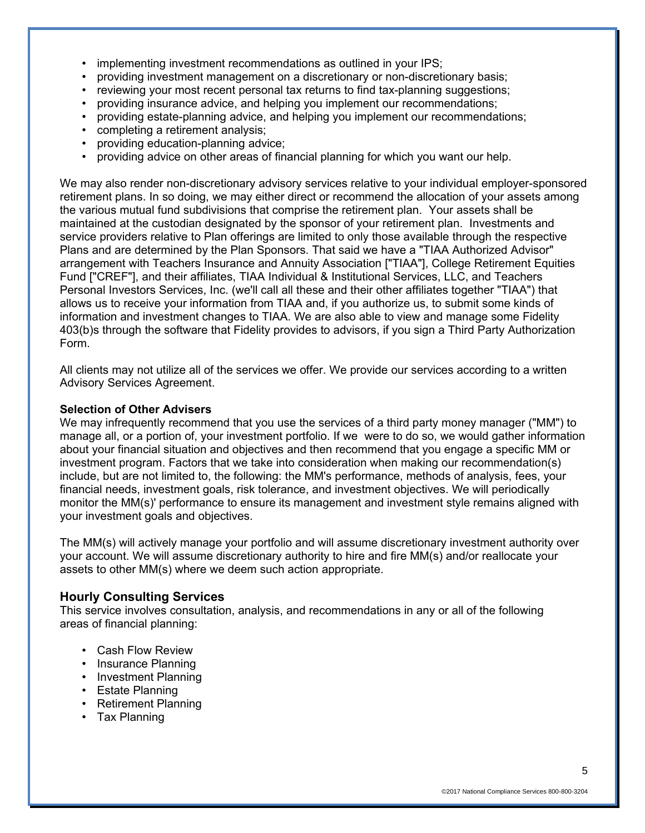- implementing investment recommendations as outlined in your IPS;
- providing investment management on a discretionary or non-discretionary basis;
- reviewing your most recent personal tax returns to find tax-planning suggestions;
- providing insurance advice, and helping you implement our recommendations;
- providing estate-planning advice, and helping you implement our recommendations;
- completing a retirement analysis;
- providing education-planning advice;
- providing advice on other areas of financial planning for which you want our help.

We may also render non-discretionary advisory services relative to your individual employer-sponsored retirement plans. In so doing, we may either direct or recommend the allocation of your assets among the various mutual fund subdivisions that comprise the retirement plan. Your assets shall be maintained at the custodian designated by the sponsor of your retirement plan. Investments and service providers relative to Plan offerings are limited to only those available through the respective Plans and are determined by the Plan Sponsors. That said we have a "TIAA Authorized Advisor" arrangement with Teachers Insurance and Annuity Association ["TIAA"], College Retirement Equities Fund ["CREF"], and their affiliates, TIAA Individual & Institutional Services, LLC, and Teachers Personal Investors Services, Inc. (we'll call all these and their other affiliates together "TIAA") that allows us to receive your information from TIAA and, if you authorize us, to submit some kinds of information and investment changes to TIAA. We are also able to view and manage some Fidelity 403(b)s through the software that Fidelity provides to advisors, if you sign a Third Party Authorization Form.

All clients may not utilize all of the services we offer. We provide our services according to a written Advisory Services Agreement.

#### **Selection of Other Advisers**

We may infrequently recommend that you use the services of a third party money manager ("MM") to manage all, or a portion of, your investment portfolio. If we were to do so, we would gather information about your financial situation and objectives and then recommend that you engage a specific MM or investment program. Factors that we take into consideration when making our recommendation(s) include, but are not limited to, the following: the MM's performance, methods of analysis, fees, your financial needs, investment goals, risk tolerance, and investment objectives. We will periodically monitor the MM(s)' performance to ensure its management and investment style remains aligned with your investment goals and objectives.

The MM(s) will actively manage your portfolio and will assume discretionary investment authority over your account. We will assume discretionary authority to hire and fire MM(s) and/or reallocate your assets to other MM(s) where we deem such action appropriate.

### **Hourly Consulting Services**

This service involves consultation, analysis, and recommendations in any or all of the following areas of financial planning:

- Cash Flow Review
- Insurance Planning
- Investment Planning
- Estate Planning
- Retirement Planning
- Tax Planning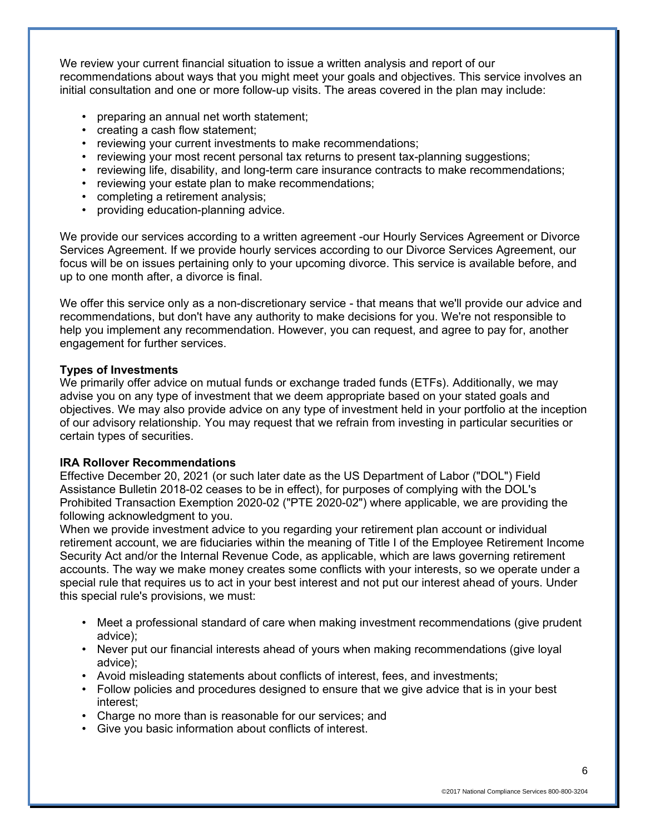We review your current financial situation to issue a written analysis and report of our recommendations about ways that you might meet your goals and objectives. This service involves an initial consultation and one or more follow-up visits. The areas covered in the plan may include:

- preparing an annual net worth statement;
- creating a cash flow statement;
- reviewing your current investments to make recommendations;
- reviewing your most recent personal tax returns to present tax-planning suggestions;
- reviewing life, disability, and long-term care insurance contracts to make recommendations;
- reviewing your estate plan to make recommendations;
- completing a retirement analysis;
- providing education-planning advice.

We provide our services according to a written agreement -our Hourly Services Agreement or Divorce Services Agreement. If we provide hourly services according to our Divorce Services Agreement, our focus will be on issues pertaining only to your upcoming divorce. This service is available before, and up to one month after, a divorce is final.

We offer this service only as a non-discretionary service - that means that we'll provide our advice and recommendations, but don't have any authority to make decisions for you. We're not responsible to help you implement any recommendation. However, you can request, and agree to pay for, another engagement for further services.

#### **Types of Investments**

We primarily offer advice on mutual funds or exchange traded funds (ETFs). Additionally, we may advise you on any type of investment that we deem appropriate based on your stated goals and objectives. We may also provide advice on any type of investment held in your portfolio at the inception of our advisory relationship. You may request that we refrain from investing in particular securities or certain types of securities.

#### **IRA Rollover Recommendations**

Effective December 20, 2021 (or such later date as the US Department of Labor ("DOL") Field Assistance Bulletin 2018-02 ceases to be in effect), for purposes of complying with the DOL's Prohibited Transaction Exemption 2020-02 ("PTE 2020-02") where applicable, we are providing the following acknowledgment to you.

When we provide investment advice to you regarding your retirement plan account or individual retirement account, we are fiduciaries within the meaning of Title I of the Employee Retirement Income Security Act and/or the Internal Revenue Code, as applicable, which are laws governing retirement accounts. The way we make money creates some conflicts with your interests, so we operate under a special rule that requires us to act in your best interest and not put our interest ahead of yours. Under this special rule's provisions, we must:

- Meet a professional standard of care when making investment recommendations (give prudent advice);
- Never put our financial interests ahead of yours when making recommendations (give loyal advice);
- Avoid misleading statements about conflicts of interest, fees, and investments;
- Follow policies and procedures designed to ensure that we give advice that is in your best interest;
- Charge no more than is reasonable for our services; and
- Give you basic information about conflicts of interest.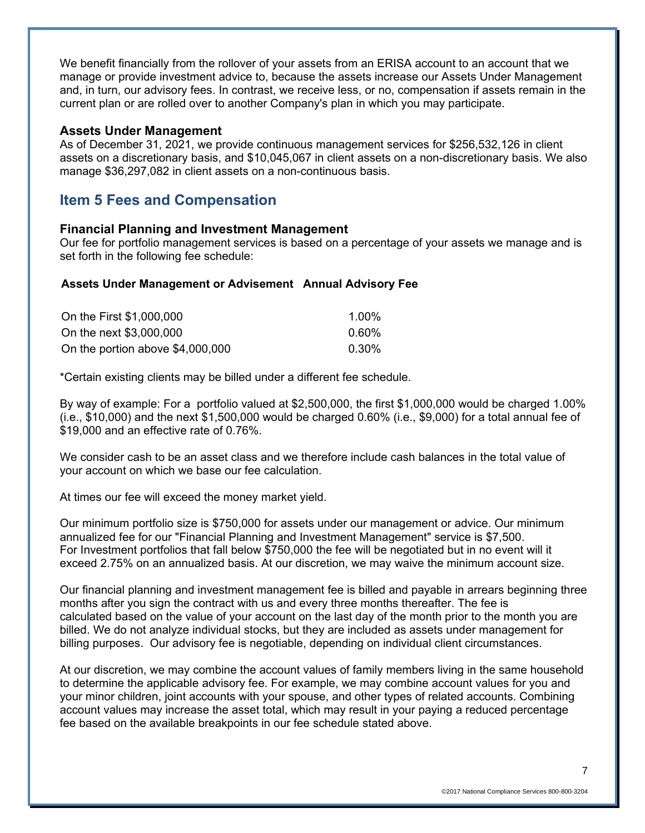We benefit financially from the rollover of your assets from an ERISA account to an account that we manage or provide investment advice to, because the assets increase our Assets Under Management and, in turn, our advisory fees. In contrast, we receive less, or no, compensation if assets remain in the current plan or are rolled over to another Company's plan in which you may participate.

#### **Assets Under Management**

As of December 31, 2021, we provide continuous management services for \$256,532,126 in client assets on a discretionary basis, and \$10,045,067 in client assets on a non-discretionary basis. We also manage \$36,297,082 in client assets on a non-continuous basis.

### **Item 5 Fees and Compensation**

### **Financial Planning and Investment Management**

Our fee for portfolio management services is based on a percentage of your assets we manage and is set forth in the following fee schedule:

#### **Assets Under Management or Advisement Annual Advisory Fee**

| On the First \$1,000,000         | 1.00% |
|----------------------------------|-------|
| On the next \$3,000,000          | 0.60% |
| On the portion above \$4,000,000 | 0.30% |

\*Certain existing clients may be billed under a different fee schedule.

By way of example: For a portfolio valued at \$2,500,000, the first \$1,000,000 would be charged 1.00% (i.e., \$10,000) and the next \$1,500,000 would be charged 0.60% (i.e., \$9,000) for a total annual fee of \$19,000 and an effective rate of 0.76%.

We consider cash to be an asset class and we therefore include cash balances in the total value of your account on which we base our fee calculation.

At times our fee will exceed the money market yield.

Our minimum portfolio size is \$750,000 for assets under our management or advice. Our minimum annualized fee for our "Financial Planning and Investment Management" service is \$7,500. For Investment portfolios that fall below \$750,000 the fee will be negotiated but in no event will it exceed 2.75% on an annualized basis. At our discretion, we may waive the minimum account size.

Our financial planning and investment management fee is billed and payable in arrears beginning three months after you sign the contract with us and every three months thereafter. The fee is calculated based on the value of your account on the last day of the month prior to the month you are billed. We do not analyze individual stocks, but they are included as assets under management for billing purposes. Our advisory fee is negotiable, depending on individual client circumstances.

At our discretion, we may combine the account values of family members living in the same household to determine the applicable advisory fee. For example, we may combine account values for you and your minor children, joint accounts with your spouse, and other types of related accounts. Combining account values may increase the asset total, which may result in your paying a reduced percentage fee based on the available breakpoints in our fee schedule stated above.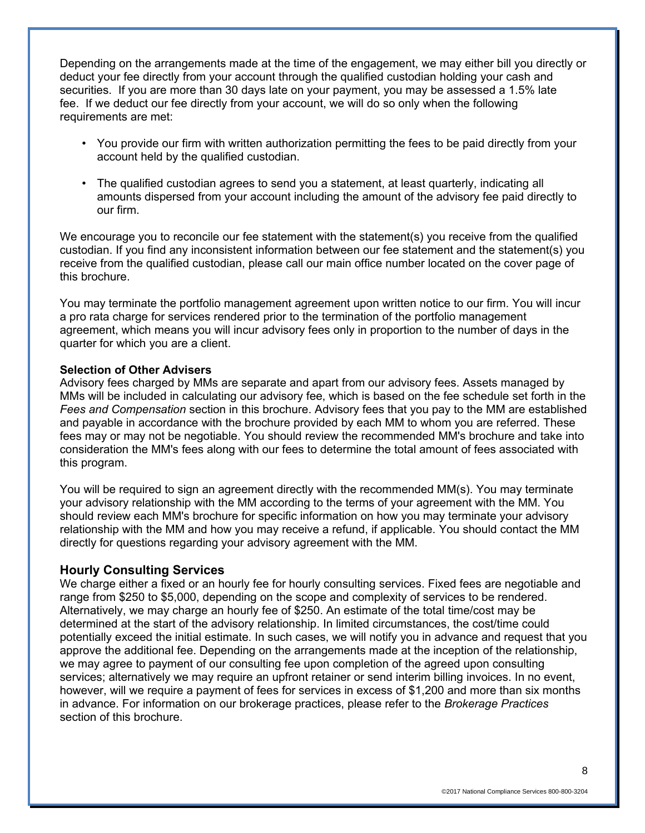Depending on the arrangements made at the time of the engagement, we may either bill you directly or deduct your fee directly from your account through the qualified custodian holding your cash and securities. If you are more than 30 days late on your payment, you may be assessed a 1.5% late fee. If we deduct our fee directly from your account, we will do so only when the following requirements are met:

- You provide our firm with written authorization permitting the fees to be paid directly from your account held by the qualified custodian.
- The qualified custodian agrees to send you a statement, at least quarterly, indicating all amounts dispersed from your account including the amount of the advisory fee paid directly to our firm.

We encourage you to reconcile our fee statement with the statement(s) you receive from the qualified custodian. If you find any inconsistent information between our fee statement and the statement(s) you receive from the qualified custodian, please call our main office number located on the cover page of this brochure.

You may terminate the portfolio management agreement upon written notice to our firm. You will incur a pro rata charge for services rendered prior to the termination of the portfolio management agreement, which means you will incur advisory fees only in proportion to the number of days in the quarter for which you are a client.

#### **Selection of Other Advisers**

Advisory fees charged by MMs are separate and apart from our advisory fees. Assets managed by MMs will be included in calculating our advisory fee, which is based on the fee schedule set forth in the *Fees and Compensation* section in this brochure. Advisory fees that you pay to the MM are established and payable in accordance with the brochure provided by each MM to whom you are referred. These fees may or may not be negotiable. You should review the recommended MM's brochure and take into consideration the MM's fees along with our fees to determine the total amount of fees associated with this program.

You will be required to sign an agreement directly with the recommended MM(s). You may terminate your advisory relationship with the MM according to the terms of your agreement with the MM. You should review each MM's brochure for specific information on how you may terminate your advisory relationship with the MM and how you may receive a refund, if applicable. You should contact the MM directly for questions regarding your advisory agreement with the MM.

#### **Hourly Consulting Services**

We charge either a fixed or an hourly fee for hourly consulting services. Fixed fees are negotiable and range from \$250 to \$5,000, depending on the scope and complexity of services to be rendered. Alternatively, we may charge an hourly fee of \$250. An estimate of the total time/cost may be determined at the start of the advisory relationship. In limited circumstances, the cost/time could potentially exceed the initial estimate. In such cases, we will notify you in advance and request that you approve the additional fee. Depending on the arrangements made at the inception of the relationship, we may agree to payment of our consulting fee upon completion of the agreed upon consulting services; alternatively we may require an upfront retainer or send interim billing invoices. In no event, however, will we require a payment of fees for services in excess of \$1,200 and more than six months in advance. For information on our brokerage practices, please refer to the *Brokerage Practices* section of this brochure.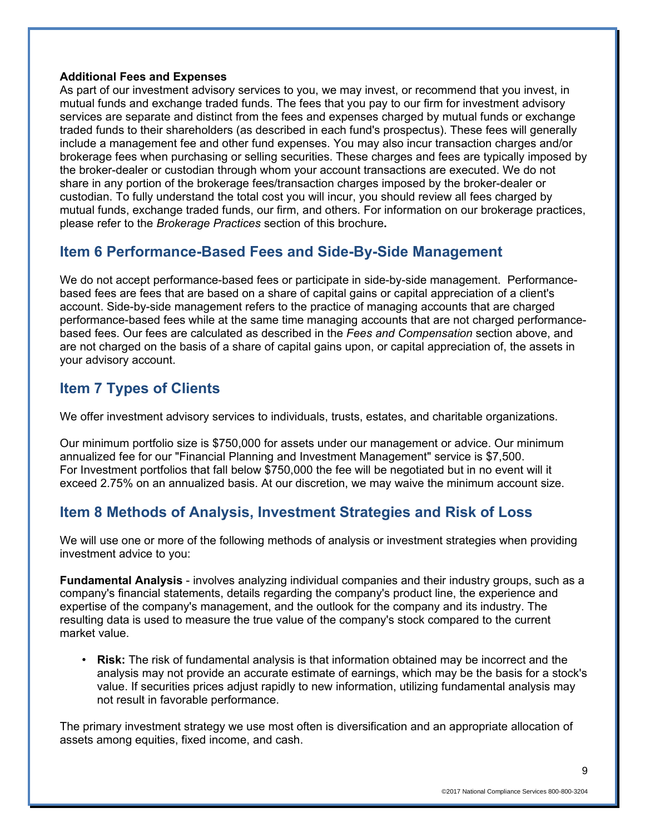#### **Additional Fees and Expenses**

As part of our investment advisory services to you, we may invest, or recommend that you invest, in mutual funds and exchange traded funds. The fees that you pay to our firm for investment advisory services are separate and distinct from the fees and expenses charged by mutual funds or exchange traded funds to their shareholders (as described in each fund's prospectus). These fees will generally include a management fee and other fund expenses. You may also incur transaction charges and/or brokerage fees when purchasing or selling securities. These charges and fees are typically imposed by the broker-dealer or custodian through whom your account transactions are executed. We do not share in any portion of the brokerage fees/transaction charges imposed by the broker-dealer or custodian. To fully understand the total cost you will incur, you should review all fees charged by mutual funds, exchange traded funds, our firm, and others. For information on our brokerage practices, please refer to the *Brokerage Practices* section of this brochure**.**

# **Item 6 Performance-Based Fees and Side-By-Side Management**

We do not accept performance-based fees or participate in side-by-side management. Performancebased fees are fees that are based on a share of capital gains or capital appreciation of a client's account. Side-by-side management refers to the practice of managing accounts that are charged performance-based fees while at the same time managing accounts that are not charged performancebased fees. Our fees are calculated as described in the *Fees and Compensation* section above, and are not charged on the basis of a share of capital gains upon, or capital appreciation of, the assets in your advisory account.

# **Item 7 Types of Clients**

We offer investment advisory services to individuals, trusts, estates, and charitable organizations.

Our minimum portfolio size is \$750,000 for assets under our management or advice. Our minimum annualized fee for our "Financial Planning and Investment Management" service is \$7,500. For Investment portfolios that fall below \$750,000 the fee will be negotiated but in no event will it exceed 2.75% on an annualized basis. At our discretion, we may waive the minimum account size.

# **Item 8 Methods of Analysis, Investment Strategies and Risk of Loss**

We will use one or more of the following methods of analysis or investment strategies when providing investment advice to you:

**Fundamental Analysis** - involves analyzing individual companies and their industry groups, such as a company's financial statements, details regarding the company's product line, the experience and expertise of the company's management, and the outlook for the company and its industry. The resulting data is used to measure the true value of the company's stock compared to the current market value.

• **Risk:** The risk of fundamental analysis is that information obtained may be incorrect and the analysis may not provide an accurate estimate of earnings, which may be the basis for a stock's value. If securities prices adjust rapidly to new information, utilizing fundamental analysis may not result in favorable performance.

The primary investment strategy we use most often is diversification and an appropriate allocation of assets among equities, fixed income, and cash.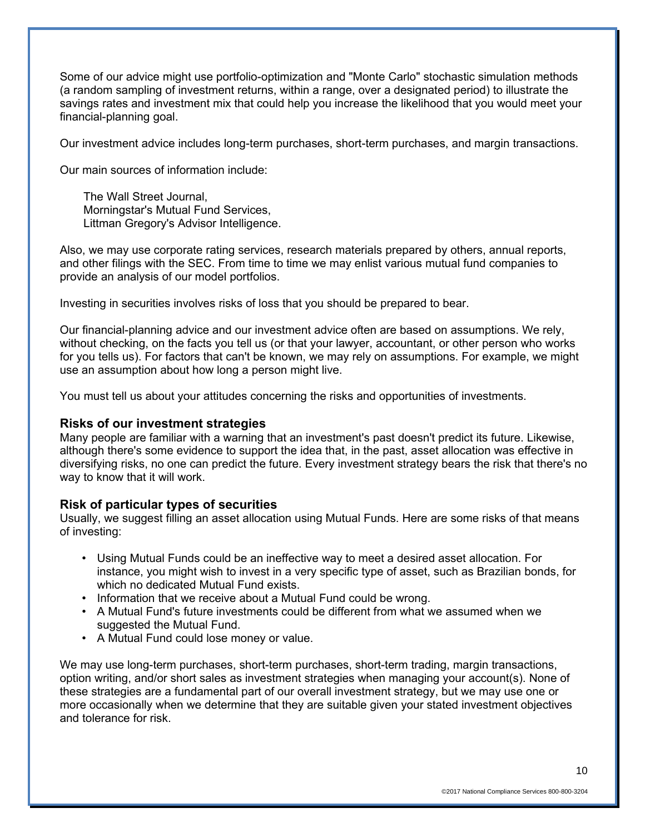Some of our advice might use portfolio-optimization and "Monte Carlo" stochastic simulation methods (a random sampling of investment returns, within a range, over a designated period) to illustrate the savings rates and investment mix that could help you increase the likelihood that you would meet your financial-planning goal.

Our investment advice includes long-term purchases, short-term purchases, and margin transactions.

Our main sources of information include:

The Wall Street Journal, Morningstar's Mutual Fund Services, Littman Gregory's Advisor Intelligence.

Also, we may use corporate rating services, research materials prepared by others, annual reports, and other filings with the SEC. From time to time we may enlist various mutual fund companies to provide an analysis of our model portfolios.

Investing in securities involves risks of loss that you should be prepared to bear.

Our financial-planning advice and our investment advice often are based on assumptions. We rely, without checking, on the facts you tell us (or that your lawyer, accountant, or other person who works for you tells us). For factors that can't be known, we may rely on assumptions. For example, we might use an assumption about how long a person might live.

You must tell us about your attitudes concerning the risks and opportunities of investments.

### **Risks of our investment strategies**

Many people are familiar with a warning that an investment's past doesn't predict its future. Likewise, although there's some evidence to support the idea that, in the past, asset allocation was effective in diversifying risks, no one can predict the future. Every investment strategy bears the risk that there's no way to know that it will work.

### **Risk of particular types of securities**

Usually, we suggest filling an asset allocation using Mutual Funds. Here are some risks of that means of investing:

- Using Mutual Funds could be an ineffective way to meet a desired asset allocation. For instance, you might wish to invest in a very specific type of asset, such as Brazilian bonds, for which no dedicated Mutual Fund exists.
- Information that we receive about a Mutual Fund could be wrong.
- A Mutual Fund's future investments could be different from what we assumed when we suggested the Mutual Fund.
- A Mutual Fund could lose money or value.

We may use long-term purchases, short-term purchases, short-term trading, margin transactions, option writing, and/or short sales as investment strategies when managing your account(s). None of these strategies are a fundamental part of our overall investment strategy, but we may use one or more occasionally when we determine that they are suitable given your stated investment objectives and tolerance for risk.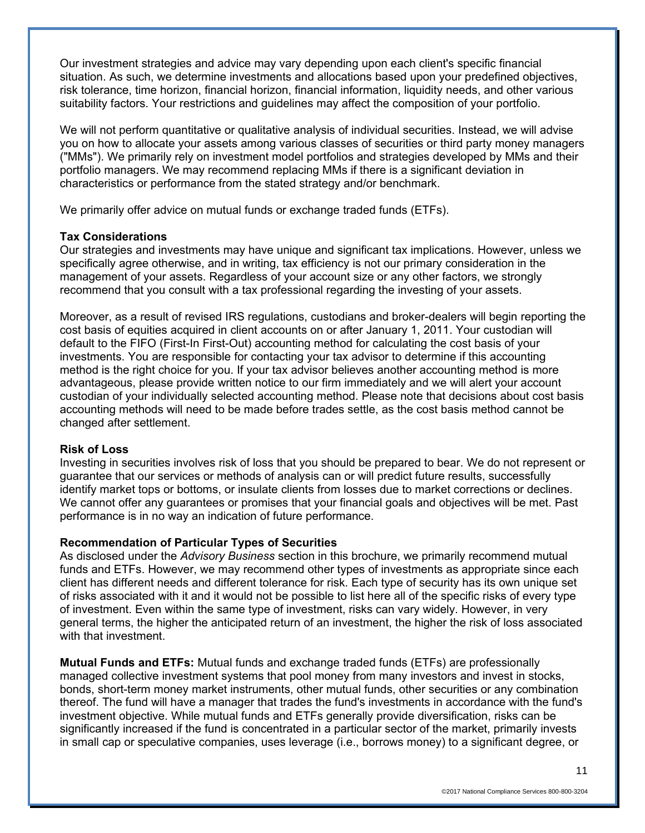Our investment strategies and advice may vary depending upon each client's specific financial situation. As such, we determine investments and allocations based upon your predefined objectives, risk tolerance, time horizon, financial horizon, financial information, liquidity needs, and other various suitability factors. Your restrictions and guidelines may affect the composition of your portfolio.

We will not perform quantitative or qualitative analysis of individual securities. Instead, we will advise you on how to allocate your assets among various classes of securities or third party money managers ("MMs"). We primarily rely on investment model portfolios and strategies developed by MMs and their portfolio managers. We may recommend replacing MMs if there is a significant deviation in characteristics or performance from the stated strategy and/or benchmark.

We primarily offer advice on mutual funds or exchange traded funds (ETFs).

### **Tax Considerations**

Our strategies and investments may have unique and significant tax implications. However, unless we specifically agree otherwise, and in writing, tax efficiency is not our primary consideration in the management of your assets. Regardless of your account size or any other factors, we strongly recommend that you consult with a tax professional regarding the investing of your assets.

Moreover, as a result of revised IRS regulations, custodians and broker-dealers will begin reporting the cost basis of equities acquired in client accounts on or after January 1, 2011. Your custodian will default to the FIFO (First-In First-Out) accounting method for calculating the cost basis of your investments. You are responsible for contacting your tax advisor to determine if this accounting method is the right choice for you. If your tax advisor believes another accounting method is more advantageous, please provide written notice to our firm immediately and we will alert your account custodian of your individually selected accounting method. Please note that decisions about cost basis accounting methods will need to be made before trades settle, as the cost basis method cannot be changed after settlement.

### **Risk of Loss**

Investing in securities involves risk of loss that you should be prepared to bear. We do not represent or guarantee that our services or methods of analysis can or will predict future results, successfully identify market tops or bottoms, or insulate clients from losses due to market corrections or declines. We cannot offer any guarantees or promises that your financial goals and objectives will be met. Past performance is in no way an indication of future performance.

### **Recommendation of Particular Types of Securities**

As disclosed under the *Advisory Business* section in this brochure, we primarily recommend mutual funds and ETFs. However, we may recommend other types of investments as appropriate since each client has different needs and different tolerance for risk. Each type of security has its own unique set of risks associated with it and it would not be possible to list here all of the specific risks of every type of investment. Even within the same type of investment, risks can vary widely. However, in very general terms, the higher the anticipated return of an investment, the higher the risk of loss associated with that investment.

**Mutual Funds and ETFs:** Mutual funds and exchange traded funds (ETFs) are professionally managed collective investment systems that pool money from many investors and invest in stocks, bonds, short-term money market instruments, other mutual funds, other securities or any combination thereof. The fund will have a manager that trades the fund's investments in accordance with the fund's investment objective. While mutual funds and ETFs generally provide diversification, risks can be significantly increased if the fund is concentrated in a particular sector of the market, primarily invests in small cap or speculative companies, uses leverage (i.e., borrows money) to a significant degree, or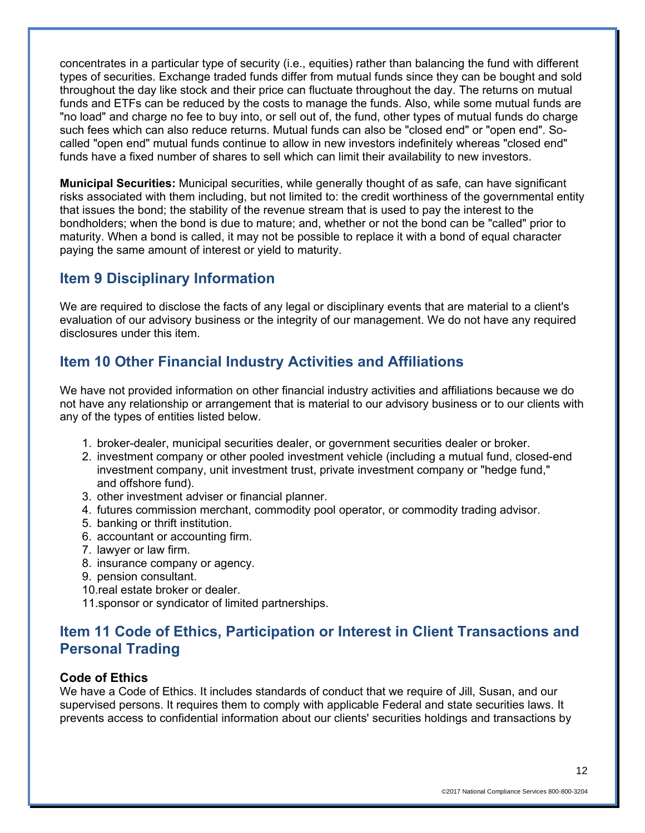concentrates in a particular type of security (i.e., equities) rather than balancing the fund with different types of securities. Exchange traded funds differ from mutual funds since they can be bought and sold throughout the day like stock and their price can fluctuate throughout the day. The returns on mutual funds and ETFs can be reduced by the costs to manage the funds. Also, while some mutual funds are "no load" and charge no fee to buy into, or sell out of, the fund, other types of mutual funds do charge such fees which can also reduce returns. Mutual funds can also be "closed end" or "open end". Socalled "open end" mutual funds continue to allow in new investors indefinitely whereas "closed end" funds have a fixed number of shares to sell which can limit their availability to new investors.

**Municipal Securities:** Municipal securities, while generally thought of as safe, can have significant risks associated with them including, but not limited to: the credit worthiness of the governmental entity that issues the bond; the stability of the revenue stream that is used to pay the interest to the bondholders; when the bond is due to mature; and, whether or not the bond can be "called" prior to maturity. When a bond is called, it may not be possible to replace it with a bond of equal character paying the same amount of interest or yield to maturity.

# **Item 9 Disciplinary Information**

We are required to disclose the facts of any legal or disciplinary events that are material to a client's evaluation of our advisory business or the integrity of our management. We do not have any required disclosures under this item.

# **Item 10 Other Financial Industry Activities and Affiliations**

We have not provided information on other financial industry activities and affiliations because we do not have any relationship or arrangement that is material to our advisory business or to our clients with any of the types of entities listed below.

- 1. broker-dealer, municipal securities dealer, or government securities dealer or broker.
- 2. investment company or other pooled investment vehicle (including a mutual fund, closed-end investment company, unit investment trust, private investment company or "hedge fund," and offshore fund).
- 3. other investment adviser or financial planner.
- 4. futures commission merchant, commodity pool operator, or commodity trading advisor.
- 5. banking or thrift institution.
- 6. accountant or accounting firm.
- 7. lawyer or law firm.
- 8. insurance company or agency.
- 9. pension consultant.
- 10.real estate broker or dealer.
- 11.sponsor or syndicator of limited partnerships.

# **Item 11 Code of Ethics, Participation or Interest in Client Transactions and Personal Trading**

### **Code of Ethics**

We have a Code of Ethics. It includes standards of conduct that we require of Jill, Susan, and our supervised persons. It requires them to comply with applicable Federal and state securities laws. It prevents access to confidential information about our clients' securities holdings and transactions by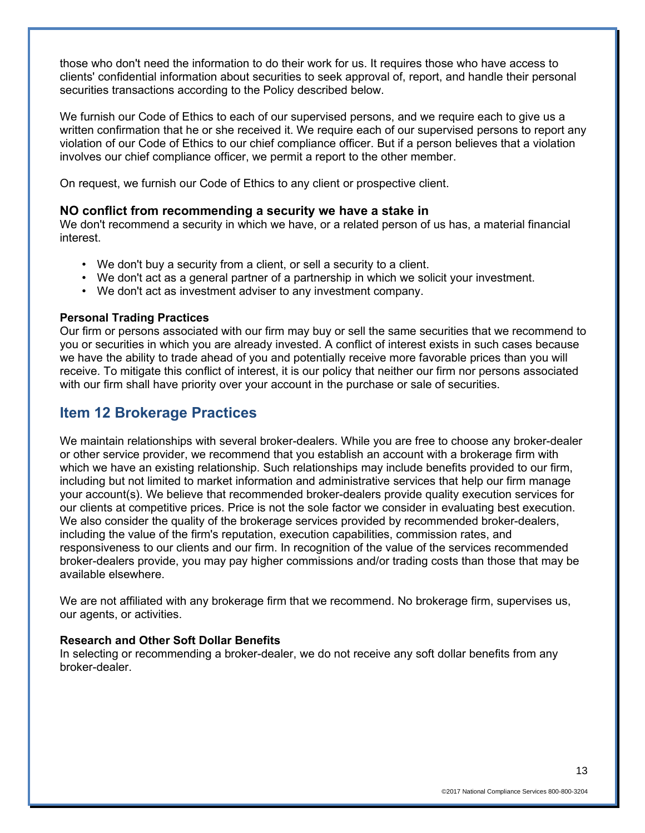those who don't need the information to do their work for us. It requires those who have access to clients' confidential information about securities to seek approval of, report, and handle their personal securities transactions according to the Policy described below.

We furnish our Code of Ethics to each of our supervised persons, and we require each to give us a written confirmation that he or she received it. We require each of our supervised persons to report any violation of our Code of Ethics to our chief compliance officer. But if a person believes that a violation involves our chief compliance officer, we permit a report to the other member.

On request, we furnish our Code of Ethics to any client or prospective client.

### **NO conflict from recommending a security we have a stake in**

We don't recommend a security in which we have, or a related person of us has, a material financial interest.

- We don't buy a security from a client, or sell a security to a client.
- We don't act as a general partner of a partnership in which we solicit your investment.
- We don't act as investment adviser to any investment company.

#### **Personal Trading Practices**

Our firm or persons associated with our firm may buy or sell the same securities that we recommend to you or securities in which you are already invested. A conflict of interest exists in such cases because we have the ability to trade ahead of you and potentially receive more favorable prices than you will receive. To mitigate this conflict of interest, it is our policy that neither our firm nor persons associated with our firm shall have priority over your account in the purchase or sale of securities.

# **Item 12 Brokerage Practices**

We maintain relationships with several broker-dealers. While you are free to choose any broker-dealer or other service provider, we recommend that you establish an account with a brokerage firm with which we have an existing relationship. Such relationships may include benefits provided to our firm, including but not limited to market information and administrative services that help our firm manage your account(s). We believe that recommended broker-dealers provide quality execution services for our clients at competitive prices. Price is not the sole factor we consider in evaluating best execution. We also consider the quality of the brokerage services provided by recommended broker-dealers, including the value of the firm's reputation, execution capabilities, commission rates, and responsiveness to our clients and our firm. In recognition of the value of the services recommended broker-dealers provide, you may pay higher commissions and/or trading costs than those that may be available elsewhere.

We are not affiliated with any brokerage firm that we recommend. No brokerage firm, supervises us, our agents, or activities.

### **Research and Other Soft Dollar Benefits**

In selecting or recommending a broker-dealer, we do not receive any soft dollar benefits from any broker-dealer.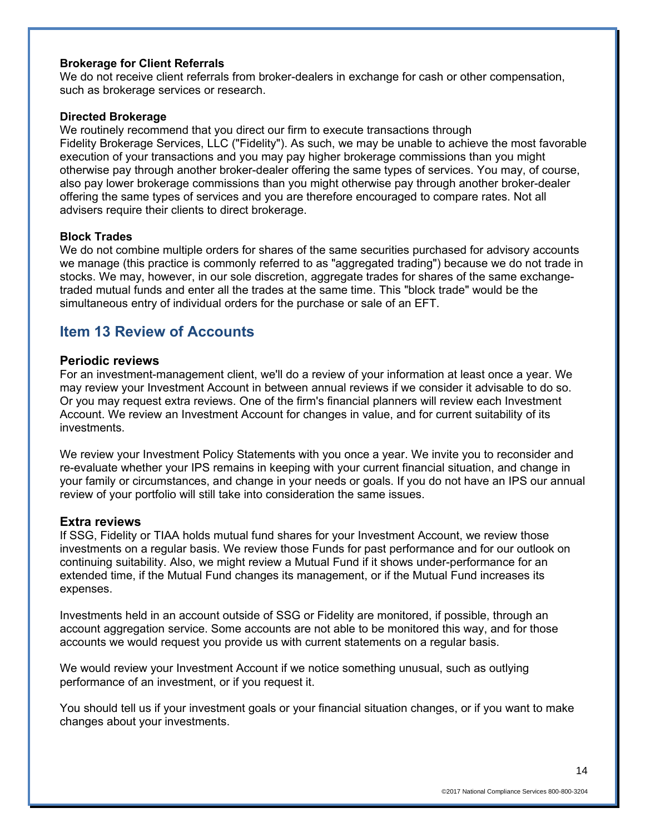### **Brokerage for Client Referrals**

We do not receive client referrals from broker-dealers in exchange for cash or other compensation, such as brokerage services or research.

#### **Directed Brokerage**

We routinely recommend that you direct our firm to execute transactions through Fidelity Brokerage Services, LLC ("Fidelity"). As such, we may be unable to achieve the most favorable execution of your transactions and you may pay higher brokerage commissions than you might otherwise pay through another broker-dealer offering the same types of services. You may, of course, also pay lower brokerage commissions than you might otherwise pay through another broker-dealer offering the same types of services and you are therefore encouraged to compare rates. Not all advisers require their clients to direct brokerage.

#### **Block Trades**

We do not combine multiple orders for shares of the same securities purchased for advisory accounts we manage (this practice is commonly referred to as "aggregated trading") because we do not trade in stocks. We may, however, in our sole discretion, aggregate trades for shares of the same exchangetraded mutual funds and enter all the trades at the same time. This "block trade" would be the simultaneous entry of individual orders for the purchase or sale of an EFT.

## **Item 13 Review of Accounts**

#### **Periodic reviews**

For an investment-management client, we'll do a review of your information at least once a year. We may review your Investment Account in between annual reviews if we consider it advisable to do so. Or you may request extra reviews. One of the firm's financial planners will review each Investment Account. We review an Investment Account for changes in value, and for current suitability of its investments.

We review your Investment Policy Statements with you once a year. We invite you to reconsider and re-evaluate whether your IPS remains in keeping with your current financial situation, and change in your family or circumstances, and change in your needs or goals. If you do not have an IPS our annual review of your portfolio will still take into consideration the same issues.

#### **Extra reviews**

If SSG, Fidelity or TIAA holds mutual fund shares for your Investment Account, we review those investments on a regular basis. We review those Funds for past performance and for our outlook on continuing suitability. Also, we might review a Mutual Fund if it shows under-performance for an extended time, if the Mutual Fund changes its management, or if the Mutual Fund increases its expenses.

Investments held in an account outside of SSG or Fidelity are monitored, if possible, through an account aggregation service. Some accounts are not able to be monitored this way, and for those accounts we would request you provide us with current statements on a regular basis.

We would review your Investment Account if we notice something unusual, such as outlying performance of an investment, or if you request it.

You should tell us if your investment goals or your financial situation changes, or if you want to make changes about your investments.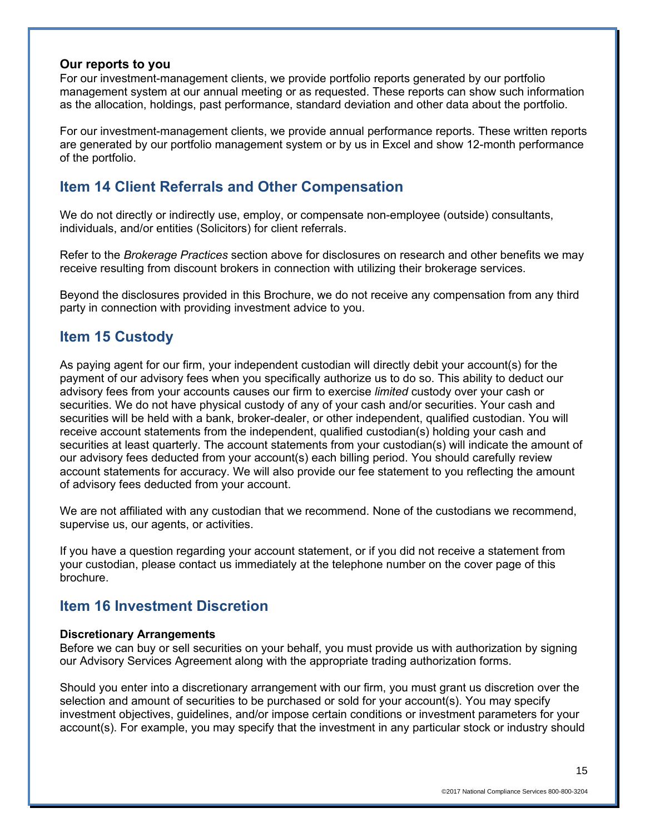#### **Our reports to you**

For our investment-management clients, we provide portfolio reports generated by our portfolio management system at our annual meeting or as requested. These reports can show such information as the allocation, holdings, past performance, standard deviation and other data about the portfolio.

For our investment-management clients, we provide annual performance reports. These written reports are generated by our portfolio management system or by us in Excel and show 12-month performance of the portfolio.

# **Item 14 Client Referrals and Other Compensation**

We do not directly or indirectly use, employ, or compensate non-employee (outside) consultants, individuals, and/or entities (Solicitors) for client referrals.

Refer to the *Brokerage Practices* section above for disclosures on research and other benefits we may receive resulting from discount brokers in connection with utilizing their brokerage services.

Beyond the disclosures provided in this Brochure, we do not receive any compensation from any third party in connection with providing investment advice to you.

### **Item 15 Custody**

As paying agent for our firm, your independent custodian will directly debit your account(s) for the payment of our advisory fees when you specifically authorize us to do so. This ability to deduct our advisory fees from your accounts causes our firm to exercise *limited* custody over your cash or securities. We do not have physical custody of any of your cash and/or securities. Your cash and securities will be held with a bank, broker-dealer, or other independent, qualified custodian. You will receive account statements from the independent, qualified custodian(s) holding your cash and securities at least quarterly. The account statements from your custodian(s) will indicate the amount of our advisory fees deducted from your account(s) each billing period. You should carefully review account statements for accuracy. We will also provide our fee statement to you reflecting the amount of advisory fees deducted from your account.

We are not affiliated with any custodian that we recommend. None of the custodians we recommend, supervise us, our agents, or activities.

If you have a question regarding your account statement, or if you did not receive a statement from your custodian, please contact us immediately at the telephone number on the cover page of this brochure.

## **Item 16 Investment Discretion**

### **Discretionary Arrangements**

Before we can buy or sell securities on your behalf, you must provide us with authorization by signing our Advisory Services Agreement along with the appropriate trading authorization forms.

Should you enter into a discretionary arrangement with our firm, you must grant us discretion over the selection and amount of securities to be purchased or sold for your account(s). You may specify investment objectives, guidelines, and/or impose certain conditions or investment parameters for your account(s). For example, you may specify that the investment in any particular stock or industry should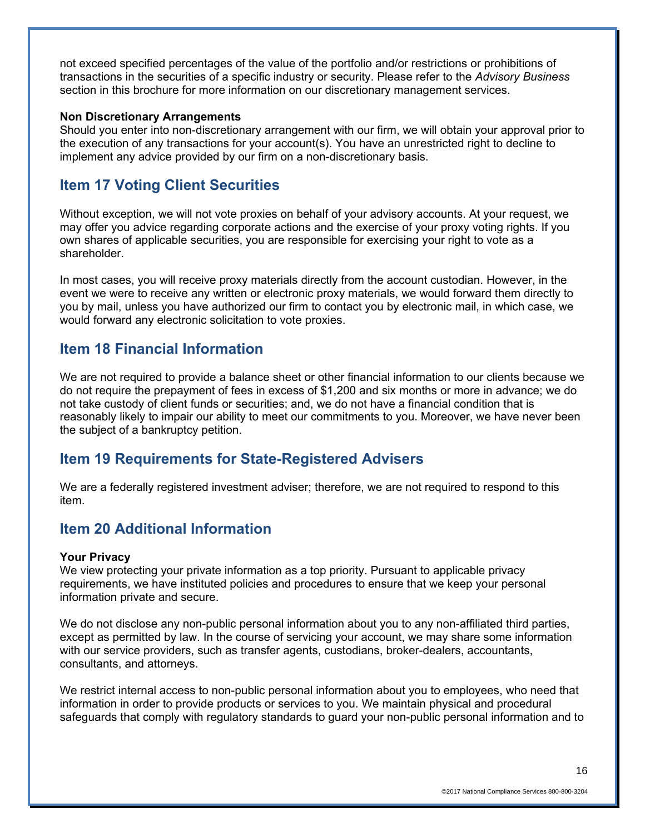not exceed specified percentages of the value of the portfolio and/or restrictions or prohibitions of transactions in the securities of a specific industry or security. Please refer to the *Advisory Business* section in this brochure for more information on our discretionary management services.

#### **Non Discretionary Arrangements**

Should you enter into non-discretionary arrangement with our firm, we will obtain your approval prior to the execution of any transactions for your account(s). You have an unrestricted right to decline to implement any advice provided by our firm on a non-discretionary basis.

## **Item 17 Voting Client Securities**

Without exception, we will not vote proxies on behalf of your advisory accounts. At your request, we may offer you advice regarding corporate actions and the exercise of your proxy voting rights. If you own shares of applicable securities, you are responsible for exercising your right to vote as a shareholder.

In most cases, you will receive proxy materials directly from the account custodian. However, in the event we were to receive any written or electronic proxy materials, we would forward them directly to you by mail, unless you have authorized our firm to contact you by electronic mail, in which case, we would forward any electronic solicitation to vote proxies.

### **Item 18 Financial Information**

We are not required to provide a balance sheet or other financial information to our clients because we do not require the prepayment of fees in excess of \$1,200 and six months or more in advance; we do not take custody of client funds or securities; and, we do not have a financial condition that is reasonably likely to impair our ability to meet our commitments to you. Moreover, we have never been the subject of a bankruptcy petition.

## **Item 19 Requirements for State-Registered Advisers**

We are a federally registered investment adviser; therefore, we are not required to respond to this item.

# **Item 20 Additional Information**

#### **Your Privacy**

We view protecting your private information as a top priority. Pursuant to applicable privacy requirements, we have instituted policies and procedures to ensure that we keep your personal information private and secure.

We do not disclose any non-public personal information about you to any non-affiliated third parties, except as permitted by law. In the course of servicing your account, we may share some information with our service providers, such as transfer agents, custodians, broker-dealers, accountants, consultants, and attorneys.

We restrict internal access to non-public personal information about you to employees, who need that information in order to provide products or services to you. We maintain physical and procedural safeguards that comply with regulatory standards to guard your non-public personal information and to